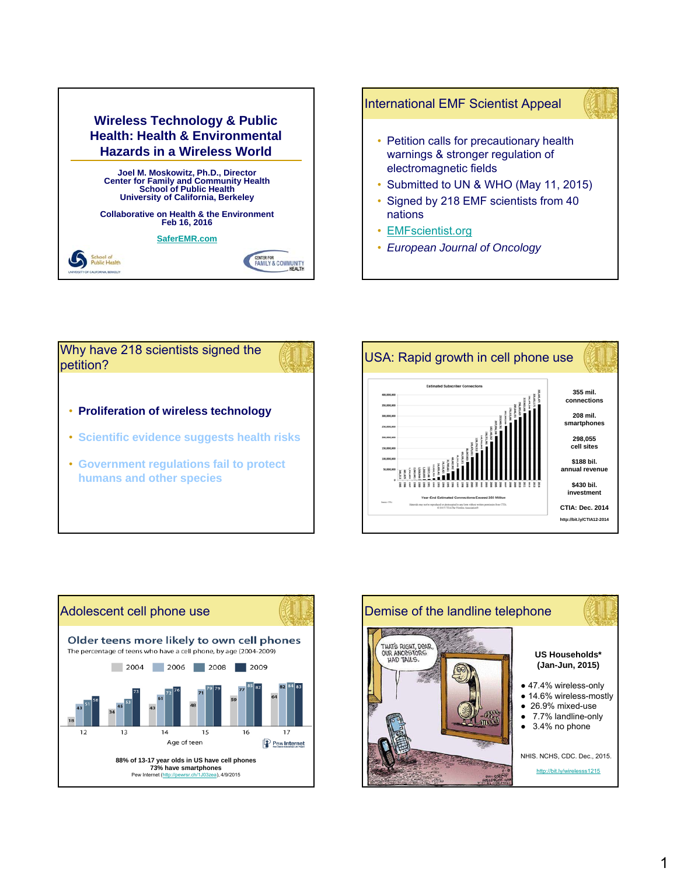

# International EMF Scientist Appeal



- Petition calls for precautionary health warnings & stronger regulation of electromagnetic fields
- Submitted to UN & WHO (May 11, 2015)
- Signed by 218 EMF scientists from 40 nations
- **EMFscientist.org**
- *European Journal of Oncology*





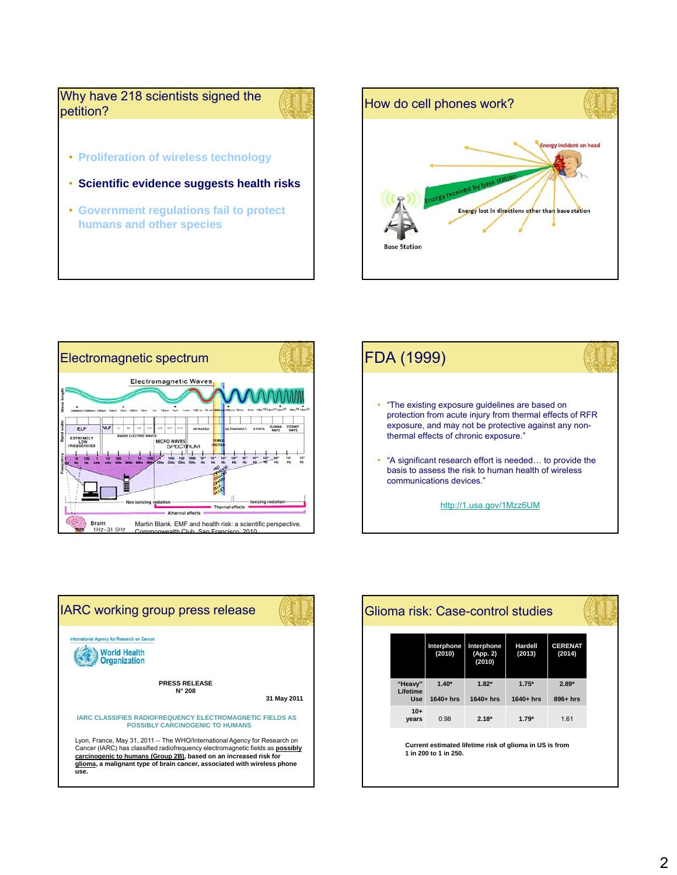Why have 218 scientists signed the petition?

- **Proliferation of wireless technology**
- **Scientific evidence suggests health risks**
- **Government regulations fail to protect humans and other species**









|                                   | Interphone<br>(2010)    | Interphone<br>(App. 2)<br>(2010) | Hardell<br>(2013)                                       | <b>CERENAT</b><br>(2014) |
|-----------------------------------|-------------------------|----------------------------------|---------------------------------------------------------|--------------------------|
| "Heavy"<br>Lifetime<br><b>Use</b> | $1.40*$<br>$1640 + hrs$ | $1.82*$<br>$1640 + hrs$          | $1.75*$<br>$1640+hrs$                                   | $2.89*$<br>$896+hrs$     |
| $10+$<br>years                    | 0.98                    | $2.18*$                          | $1.79*$                                                 | 1.61                     |
|                                   | 1 in 200 to 1 in 250.   |                                  | Current estimated lifetime risk of glioma in US is from |                          |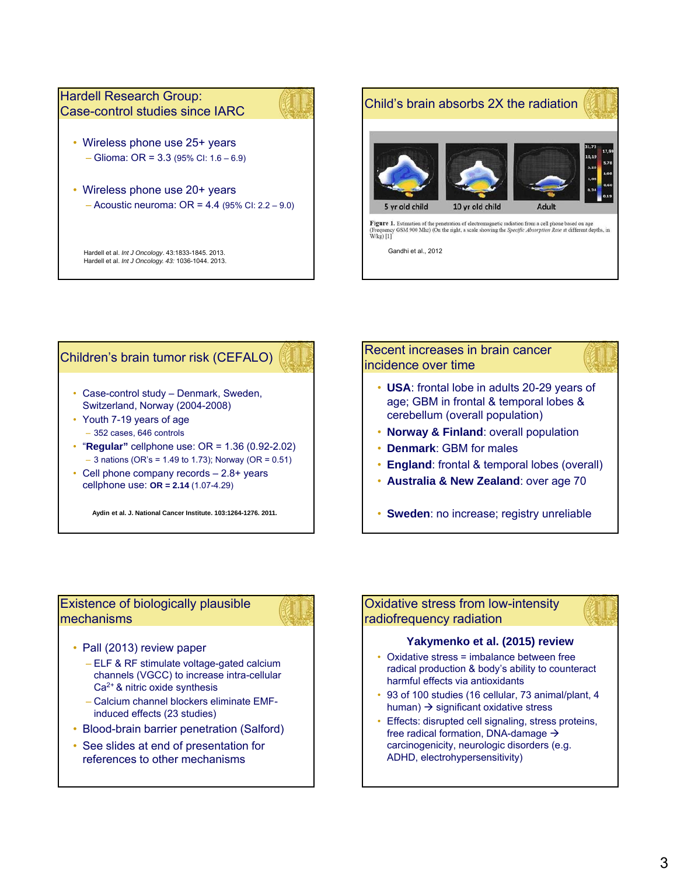

# Children's brain tumor risk (CEFALO)

- Case-control study Denmark, Sweden, Switzerland, Norway (2004-2008)
- Youth 7-19 years of age – 352 cases, 646 controls
- "**Regular"** cellphone use: OR = 1.36 (0.92-2.02)  $-$  3 nations (OR's = 1.49 to 1.73); Norway (OR = 0.51)
- Cell phone company records 2.8+ years cellphone use: **OR = 2.14** (1.07-4.29)

**Aydin et al. J. National Cancer Institute. 103:1264-1276. 2011.**

# Recent increases in brain cancer incidence over time

- **USA**: frontal lobe in adults 20-29 years of age; GBM in frontal & temporal lobes & cerebellum (overall population)
- **Norway & Finland**: overall population
- **Denmark**: GBM for males
- **England**: frontal & temporal lobes (overall)
- **Australia & New Zealand**: over age 70

• **Sweden**: no increase; registry unreliable

# Existence of biologically plausible mechanisms

- Pall (2013) review paper
	- ELF & RF stimulate voltage-gated calcium channels (VGCC) to increase intra-cellular Ca2+ & nitric oxide synthesis
	- Calcium channel blockers eliminate EMFinduced effects (23 studies)
- Blood-brain barrier penetration (Salford)
- See slides at end of presentation for references to other mechanisms

# Oxidative stress from low-intensity radiofrequency radiation

## **Yakymenko et al. (2015) review**

- Oxidative stress = imbalance between free radical production & body's ability to counteract harmful effects via antioxidants
- 93 of 100 studies (16 cellular, 73 animal/plant, 4 human)  $\rightarrow$  significant oxidative stress
- Effects: disrupted cell signaling, stress proteins, free radical formation, DNA-damage  $\rightarrow$ carcinogenicity, neurologic disorders (e.g. ADHD, electrohypersensitivity)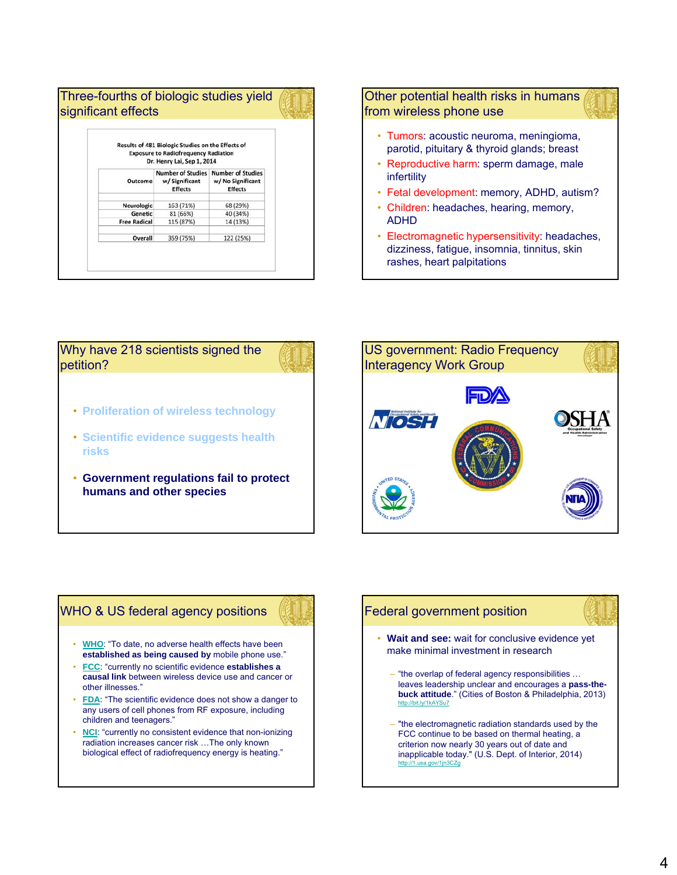|                     | Results of 481 Biologic Studies on the Effects of<br><b>Exposure to Radiofrequency Radiation</b><br>Dr. Henry Lai, Sep 1, 2014 |                                                                 |  |  |  |
|---------------------|--------------------------------------------------------------------------------------------------------------------------------|-----------------------------------------------------------------|--|--|--|
| Outcome             | <b>Number of Studies</b><br>w/ Significant<br><b>Effects</b>                                                                   | <b>Number of Studies</b><br>w/ No Significant<br><b>Effects</b> |  |  |  |
| Neurologic          | 163 (71%)                                                                                                                      | 68 (29%)                                                        |  |  |  |
| Genetic             | 81 (66%)                                                                                                                       | 40 (34%)                                                        |  |  |  |
| <b>Free Radical</b> | 115 (87%)                                                                                                                      | 14 (13%)                                                        |  |  |  |
| Overall             | 359 (75%)                                                                                                                      | 122 (25%)                                                       |  |  |  |

## Other potential health risks in humans from wireless phone use

- Tumors: acoustic neuroma, meningioma, parotid, pituitary & thyroid glands; breast
- Reproductive harm: sperm damage, male infertility
- Fetal development: memory, ADHD, autism?
- Children: headaches, hearing, memory, ADHD
- Electromagnetic hypersensitivity: headaches, dizziness, fatigue, insomnia, tinnitus, skin rashes, heart palpitations



- **Proliferation of wireless technology**
- **Scientific evidence suggests health risks**
- **Government regulations fail to protect humans and other species**



# WHO & US federal agency positions

- **WHO**: "To date, no adverse health effects have been **established as being caused by** mobile phone use."
- **FCC**: "currently no scientific evidence **establishes a causal link** between wireless device use and cancer or other illnesses."
- **FDA**: "The scientific evidence does not show a danger to any users of cell phones from RF exposure, including children and teenagers."
- **NCI:** "currently no consistent evidence that non-ionizing radiation increases cancer risk …The only known biological effect of radiofrequency energy is heating."

# Federal government position

- Wait and see: wait for conclusive evidence yet make minimal investment in research
	- "the overlap of federal agency responsibilities … leaves leadership unclear and encourages a **pass-thebuck attitude**." (Cities of Boston & Philadelphia, 2013) http://bit.ly/1kAYSu7
	- "the electromagnetic radiation standards used by the FCC continue to be based on thermal heating, a criterion now nearly 30 years out of date and inapplicable today." (U.S. Dept. of Interior, 2014) http://1.usa.gov/1jn3CZg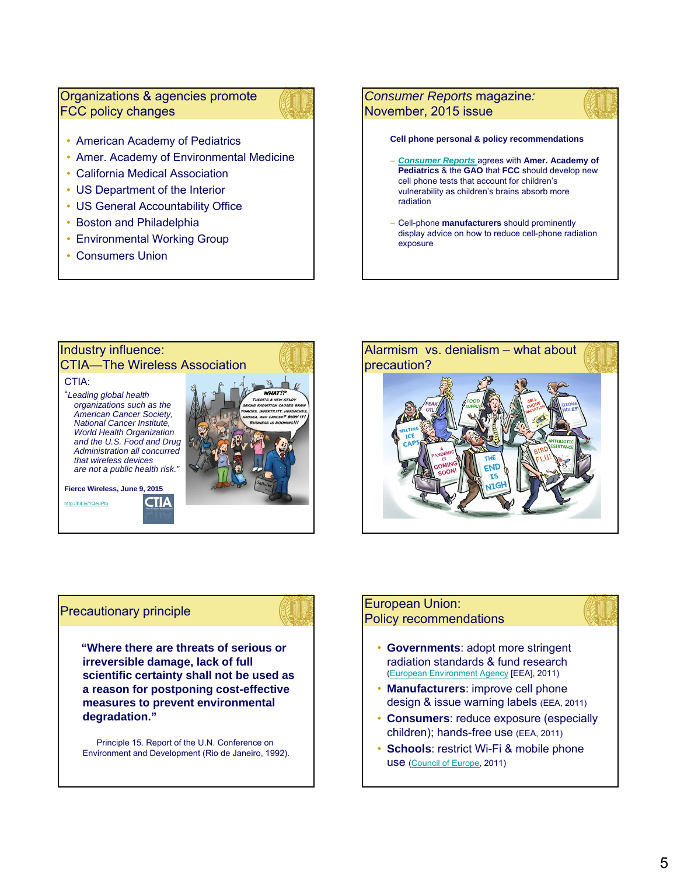# Organizations & agencies promote FCC policy changes



- American Academy of Pediatrics
- Amer. Academy of Environmental Medicine
- California Medical Association
- US Department of the Interior
- US General Accountability Office
- Boston and Philadelphia
- Environmental Working Group
- Consumers Union







## Precautionary principle

**"Where there are threats of serious or irreversible damage, lack of full scientific certainty shall not be used as a reason for postponing cost-effective measures to prevent environmental degradation."**

Principle 15. Report of the U.N. Conference on Environment and Development (Rio de Janeiro, 1992).

## European Union: Policy recommendations

- **Governments**: adopt more stringent radiation standards & fund research (European Environment Agency [EEA], 2011)
- **Manufacturers:** improve cell phone design & issue warning labels (EEA, 2011)
- **Consumers**: reduce exposure (especially children); hands-free use (EEA, 2011)
- **Schools**: restrict Wi-Fi & mobile phone use (Council of Europe, 2011)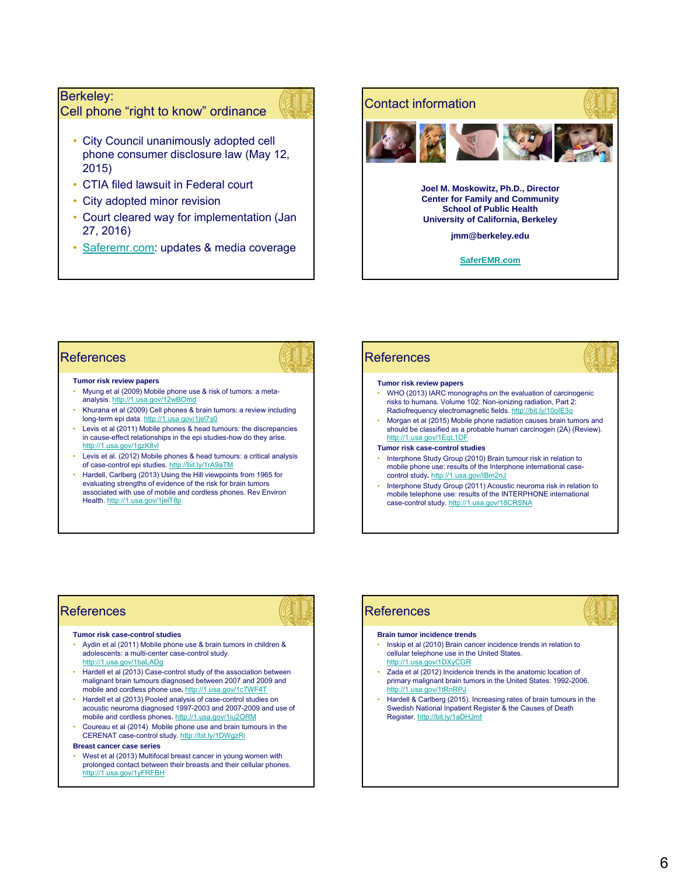## Berkeley:

Cell phone "right to know" ordinance



- City Council unanimously adopted cell phone consumer disclosure law (May 12, 2015)
- CTIA filed lawsuit in Federal court
- City adopted minor revision
- Court cleared way for implementation (Jan 27, 2016)
- Saferemr.com: updates & media coverage



## **References**

### **Tumor risk review papers**

- Myung et al (2009) Mobile phone use & risk of tumors: a metaanalysis. http://1.usa.gov/12wBOmd
- Khurana et al (2009) Cell phones & brain tumors: a review including long-term epi data. http://1.usa.gov/1jel7s0
- Levis et al (2011) Mobile phones & head tumours: the discrepancies in cause-effect relationships in the epi studies-how do they arise. http://1.usa.gov/1gzK8vl
- Levis et al. (2012) Mobile phones & head tumours: a critical analysis of case-control epi studies. http://bit.ly/1rA9aTM
- Hardell, Carlberg (2013) Using the Hill viewpoints from 1965 for evaluating strengths of evidence of the risk for brain tumors associated with use of mobile and cordless phones. Rev Environ Health. http://1.usa.gov/1jelT8p

### **References Tumor risk review papers** • WHO (2013) IARC monographs on the evaluation of carcinogenic risks to humans. Volume 102: Non-ionizing radiation, Part 2: Radiofrequency electromagnetic fields. http://bit.ly/10oIE3o • Morgan et al (2015) Mobile phone radiation causes brain tumors and should be classified as a probable human carcinogen (2A) (Review). http://1.usa.gov/1EqL1DF **Tumor risk case-control studies**

- Interphone Study Group (2010) Brain tumour risk in relation to mobile phone use: results of the Interphone international casecontrol study*.* http://1.usa.gov/IBm2nJ
- Interphone Study Group (2011) Acoustic neuroma risk in relation to mobile telephone use: results of the INTERPHONE international case-control study. http://1.usa.gov/18CRSNA

# **References**

#### **Tumor risk case-control studies**

- Aydin et al (2011) Mobile phone use & brain tumors in children & adolescents: a multi-center case-control study. http://1.usa.gov/1baLADg
- Hardell et al (2013) Case-control study of the association between malignant brain tumours diagnosed between 2007 and 2009 and mobile and cordless phone use*.* http://1.usa.gov/1c7WF4T
- Hardell et al (2013) Pooled analysis of case-control studies on acoustic neuroma diagnosed 1997-2003 and 2007-2009 and use of mobile and cordless phones. http://1.usa.gov/1iu2ORM
- Coureau et al (2014) Mobile phone use and brain tumours in the CERENAT case-control study. http://bit.ly/1DWgzRi

## **Breast cancer case series**

• West et al (2013) Multifocal breast cancer in young women with prolonged contact between their breasts and their cellular phones. http://1.usa.gov/1yFRFBH

# **References**

#### **Brain tumor incidence trends**

- Inskip et al (2010) Brain cancer incidence trends in relation to cellular telephone use in the United States.
- http://1.usa.gov/1DXyCGR • Zada et al (2012) Incidence trends in the anatomic location of
- primary malignant brain tumors in the United States: 1992-2006. http://1.usa.gov/1tRnRPJ
- Hardell & Carlberg (2015). Increasing rates of brain tumours in the Swedish National Inpatient Register & the Causes of Death Register. http://bit.ly/1aDHJmf